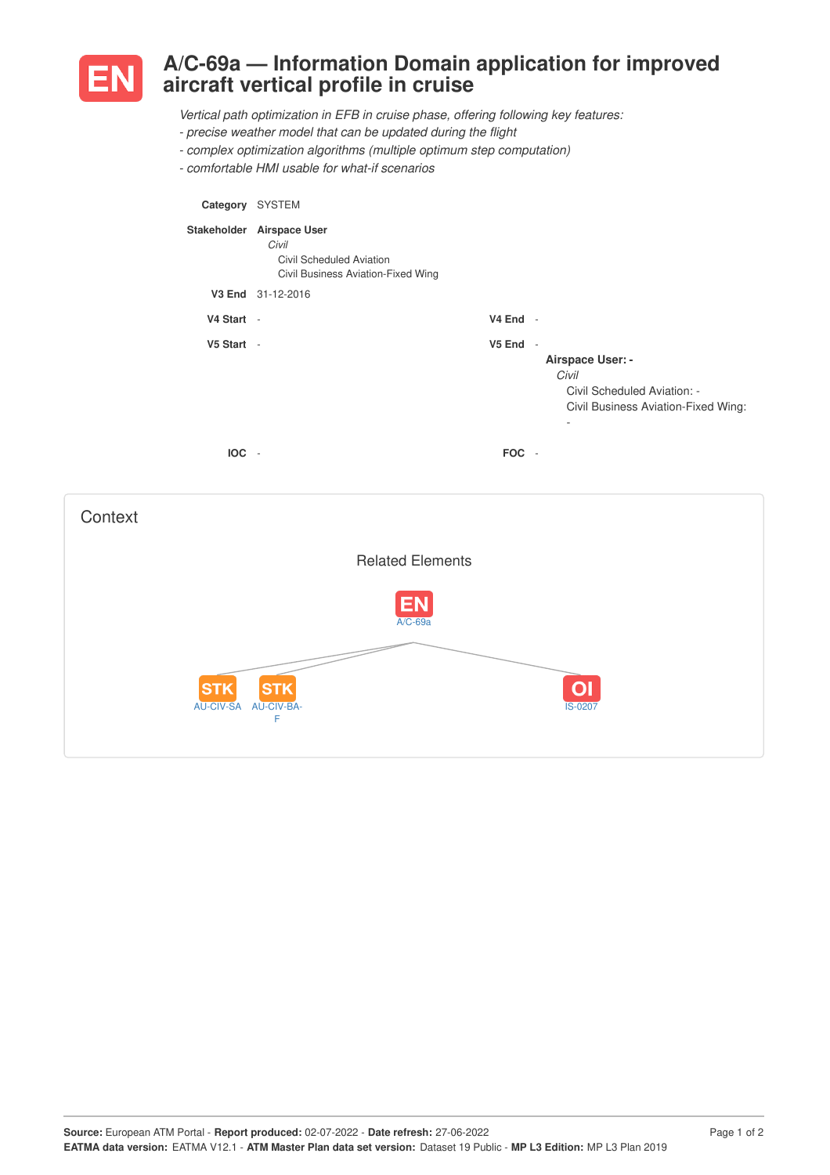

**Context** 

## **A/C-69a — Information Domain application for improved aircraft vertical profile in cruise**

*Vertical path optimization in EFB in cruise phase, offering following key features:*

- *- precise weather model that can be updated during the flight*
- *- complex optimization algorithms (multiple optimum step computation)*
- *- comfortable HMI usable for what-if scenarios*

AU-CIV-SA AU-CIV-BA-

**STK** 

F

**STK** 

| Category SYSTEM |                                                                                                      |          |                                                                                                                                       |
|-----------------|------------------------------------------------------------------------------------------------------|----------|---------------------------------------------------------------------------------------------------------------------------------------|
|                 | Stakeholder Airspace User<br>Civil<br>Civil Scheduled Aviation<br>Civil Business Aviation-Fixed Wing |          |                                                                                                                                       |
|                 | V3 End 31-12-2016                                                                                    |          |                                                                                                                                       |
| V4 Start -      |                                                                                                      | V4 End - |                                                                                                                                       |
| V5 Start -      |                                                                                                      | V5 End   | $\sim$<br>Airspace User: -<br>Civil<br>Civil Scheduled Aviation: -<br>Civil Business Aviation-Fixed Wing:<br>$\overline{\phantom{a}}$ |
| IOC -           |                                                                                                      | FOC -    |                                                                                                                                       |
|                 | <b>Related Elements</b>                                                                              |          |                                                                                                                                       |

 $A/C-69$ 

 $\overline{$ IS-020

 $\overline{O}$